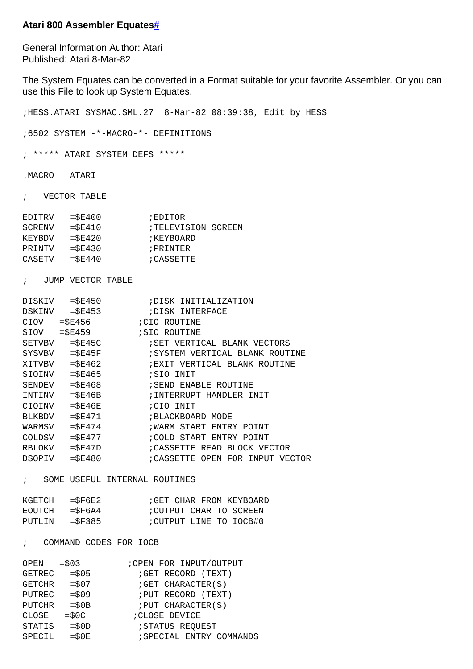## **Atari 800 Assembler Equates[#](http://[fd00::119]:8080/wiki/#section-Atari+800+Assembler+Equates-Atari800AssemblerEquates)**

General Information Author: Atari Published: Atari 8-Mar-82

The System Equates can be converted in a Format suitable for your favorite Assembler. Or you can use this File to look up System Equates.

;HESS.ATARI SYSMAC.SML.27 8-Mar-82 08:39:38, Edit by HESS ;6502 SYSTEM -\*-MACRO-\*- DEFINITIONS ; \*\*\*\*\* ATARI SYSTEM DEFS \*\*\*\*\* .MACRO ATARI ; VECTOR TABLE EDITRV =\$E400 ;EDITOR SCRENV = \$E410 ;TELEVISION SCREEN KEYBDV = \$E420 ;KEYBOARD PRINTV = \$E430 ; PRINTER  $CASETV$  = $$E440$  ; CASSETTE ; JUMP VECTOR TABLE DISKIV =\$E450 ;DISK INITIALIZATION DSKINV = \$E453 ;DISK INTERFACE CIOV = \$E456 ;CIO ROUTINE SIOV = \$E459 ;SIO ROUTINE SETVBV =\$E45C ;SET VERTICAL BLANK VECTORS SYSVBV = \$E45F : SYSTEM VERTICAL BLANK ROUTINE XITVBV =\$E462 ;EXIT VERTICAL BLANK ROUTINE  $SIOINV$  = $$E465$  ;SIO INIT SENDEV = \$E468 ;SEND ENABLE ROUTINE INTINV = \$E46B ;INTERRUPT HANDLER INIT  $CIOINV$  =  $$E46E$  ; CIO INIT BLKBDV = \$E471 ; BLACKBOARD MODE WARMSV = \$E474 ;WARM START ENTRY POINT COLDSV =\$E477 ;COLD START ENTRY POINT RBLOKV = \$E47D ; CASSETTE READ BLOCK VECTOR DSOPIV = \$E480 : CASSETTE OPEN FOR INPUT VECTOR ; SOME USEFUL INTERNAL ROUTINES KGETCH = \$F6E2 ;GET CHAR FROM KEYBOARD

| EOUTCH | $=$ SF6A $4$ | ; OUTPUT CHAR TO SCREEN |  |  |
|--------|--------------|-------------------------|--|--|
| PUTLIN | $=$ SF385    | OUTPUT LINE TO IOCB#0;  |  |  |

## ; COMMAND CODES FOR IOCB

| $=$ \$03 | ; OPEN FOR INPUT/OUTPUT  |
|----------|--------------------------|
| $=$ \$05 | ; GET RECORD (TEXT)      |
| $= $07$  | ; GET CHARACTER (S)      |
| $= $09$  | ; PUT RECORD (TEXT)      |
| $= $0B$  | ; PUT CHARACTER (S)      |
| $=$ \$0C | ; CLOSE DEVICE           |
| $= $0D$  | <i>STATUS REOUEST</i>    |
| $=$ \$0E | ; SPECIAL ENTRY COMMANDS |
|          |                          |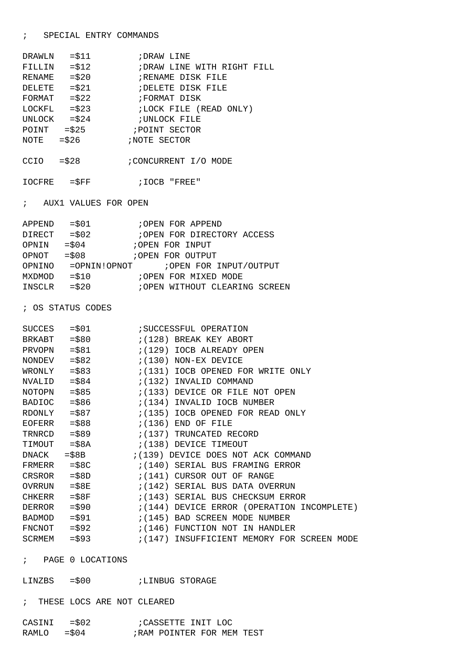| CASINI          | $=$ \$02 | CASSETTE INIT LOC          |
|-----------------|----------|----------------------------|
| $RAMLO$ = $$04$ |          | ; RAM POINTER FOR MEM TEST |

## ; PAGE 0 LOCATIONS

LINZBS =\$00 ;LINBUG STORAGE

; THESE LOCS ARE NOT CLEARED

| WRONLY | $=$ \$83       | $(131)$ IOCB OPENED FOR WRITE ONLY                              |
|--------|----------------|-----------------------------------------------------------------|
|        | $NVALID = $84$ | ;(132) INVALID COMMAND                                          |
|        |                | $NOTOPN$ = \$85 $(133)$ DEVICE OR FILE NOT OPEN                 |
|        |                | BADIOC = $$86$ $(134)$ INVALID IOCB NUMBER                      |
|        |                | RDONLY = $$87$ ; (135) IOCB OPENED FOR READ ONLY                |
|        |                | EOFERR $= $88$ ; (136) END OF FILE                              |
|        | $TRNRCD = $89$ | $(137)$ TRUNCATED RECORD                                        |
| TIMOUT |                | $= $8A$ ; (138) DEVICE TIMEOUT                                  |
| DNACK  |                | $= $8B$ $(139)$ DEVICE DOES NOT ACK COMMAND                     |
|        |                | FRMERR $= $8C$ $(140)$ SERIAL BUS FRAMING ERROR                 |
|        |                | CRSROR $= $8D$ ; (141) CURSOR OUT OF RANGE                      |
|        |                |                                                                 |
|        |                | CHKERR $=$ \$8F $(143)$ SERIAL BUS CHECKSUM ERROR               |
|        |                | DERROR = \$90 (144) DEVICE ERROR (OPERATION INCOMPLETE)         |
|        |                | BADMOD = $$91$ $:(145)$ BAD SCREEN MODE NUMBER                  |
|        |                | $\text{FNCNOT}$ = \$92 $\qquad$ ; (146) FUNCTION NOT IN HANDLER |
| SCRMEM | $=$ \$93       | ;(147) INSUFFICIENT MEMORY FOR SCREEN MODE                      |
|        |                |                                                                 |
|        | ----- -------- |                                                                 |

 $(128)$  BREAK KEY ABORT

;(130) NON-EX DEVICE

; OS STATUS CODES

| APPEND | $= $01$  | ; OPEN FOR APPEND             |
|--------|----------|-------------------------------|
| DIRECT | $=$ \$02 | OPEN FOR DIRECTORY ACCESS     |
| OPNIN  | $= $04$  | OPEN FOR INPUT                |
| OPNOT  | $= $08$  | OPEN FOR OUTPUT               |
| OPNINO |          |                               |
| MXDMOD | $= $10$  | ; OPEN FOR MIXED MODE         |
| INSCLR | $= $20$  | OPEN WITHOUT CLEARING SCREEN; |

SUCCES = \$01 ; SUCCESSFUL OPERATION<br>BRKABT = \$80 ; (128) BREAK KEY ABORT

 $\begin{tabular}{lllll} \multicolumn{2}{l}{{\small \texttt{PRVOPN}}} & = $81 & $i \, (129) $ \texttt{IOCB} \texttt{ ALREADV} \texttt{OPEN} \\ \multicolumn{2}{l}{\small \texttt{NON-EX} } & = $82 & $i \, (130) $ \texttt{NON-EX} \texttt{DEVICE} \end{tabular}$ 

; AUX1 VALUES FOR OPEN

IOCFRE =\$FF ;IOCB "FREE"

CCIO = \$28 ;CONCURRENT I/O MODE

| DRAWLN        | $= $11$  | ; DRAW LINE                 |
|---------------|----------|-----------------------------|
| FILLIN        | $= $12$  | ; DRAW LINE WITH RIGHT FILL |
| RENAME        | $=$ \$20 | ;RENAME DISK FILE           |
| <b>DELETE</b> | $= $21$  | ;DELETE DISK FILE           |
| FORMAT        | $=$ \$22 | FORMAT DISK                 |
| LOCKFL        | $=$ \$23 | ;LOCK FILE (READ ONLY)      |
| UNLOCK        | $=$ \$24 | ; UNLOCK FILE               |
| POINT         | $=$ \$25 | ; POINT SECTOR              |
| NOTE          | $=$ \$26 | ; NOTE SECTOR               |
|               |          |                             |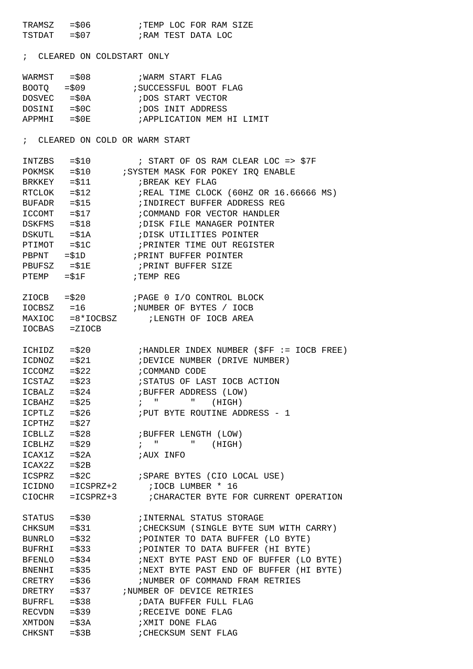TRAMSZ =\$06 ;TEMP LOC FOR RAM SIZE TSTDAT = \$07 **;RAM TEST DATA LOC** ; CLEARED ON COLDSTART ONLY WARMST = \$08 ; WARM START FLAG BOOTQ =\$09 ;SUCCESSFUL BOOT FLAG<br>DOSVEC =\$0A ;DOS START VECTOR ; DOS START VECTOR DOSINI = \$0C ;DOS INIT ADDRESS APPMHI = \$0E : APPLICATION MEM HI LIMIT ; CLEARED ON COLD OR WARM START INTZBS = \$10 : START OF OS RAM CLEAR LOC => \$7F POKMSK = \$10 ; SYSTEM MASK FOR POKEY IRQ ENABLE  $B$ RKKEY = $$11$  ;BREAK KEY FLAG RTCLOK = \$12 ;REAL TIME CLOCK (60HZ OR 16.66666 MS) BUFADR =\$15 ;INDIRECT BUFFER ADDRESS REG ICCOMT = \$17 **;COMMAND FOR VECTOR HANDLER** DSKFMS =\$18 ;DISK FILE MANAGER POINTER DSKUTL =\$1A ;DISK UTILITIES POINTER PTIMOT = \$1C ; PRINTER TIME OUT REGISTER PBPNT =\$1D ;PRINT BUFFER POINTER PBUFSZ =\$1E ;PRINT BUFFER SIZE  $PTEMP = $1F$  ; TEMP REG ZIOCB =\$20 ;PAGE 0 I/O CONTROL BLOCK IOCBSZ =16 ;NUMBER OF BYTES / IOCB  $MAXTOC = 8*TOCRSZ$  ;LENGTH OF IOCB AREA IOCBAS =ZIOCB ICHIDZ =\$20 ;HANDLER INDEX NUMBER (\$FF := IOCB FREE) IDEVICE NUMBER (DRIVE NUMBER) ICCOMZ = \$22 ; COMMAND CODE ICSTAZ =\$23 ;STATUS OF LAST IOCB ACTION ICBALZ =\$24 ;BUFFER ADDRESS (LOW)  $ICBAHZ = $25$  ; " " (HIGH) ICPTLZ =\$26 ;PUT BYTE ROUTINE ADDRESS - 1 ICPTHZ =\$27 ICBLLZ = \$28 ;BUFFER LENGTH (LOW)  $ICBLHZ$  = $$29$  ; " " (HIGH)  $ICAX1Z = $2A$  ; AUX INFO  $ICAX2Z = $2B$ ICSPRZ =\$2C ;SPARE BYTES (CIO LOCAL USE) ICIDNO =ICSPRZ+2 ;IOCB LUMBER \* 16 CIOCHR =ICSPRZ+3 ;CHARACTER BYTE FOR CURRENT OPERATION STATUS =\$30 ;INTERNAL STATUS STORAGE CHKSUM =\$31 ;CHECKSUM (SINGLE BYTE SUM WITH CARRY) BUNRLO =\$32 ;POINTER TO DATA BUFFER (LO BYTE) BUFRHI =\$33 ;POINTER TO DATA BUFFER (HI BYTE) BFENLO =\$34 ;NEXT BYTE PAST END OF BUFFER (LO BYTE)<br>BNENHI =\$35 ;NEXT BYTE PAST END OF BUFFER (HI BYTE) ;NEXT BYTE PAST END OF BUFFER (HI BYTE) CRETRY = \$36 ;NUMBER OF COMMAND FRAM RETRIES  $\begin{tabular}{lllllllllll} \multicolumn{1}{c}{BNENH1} & = $35 & & ; \newline \multicolumn{1}{c}{NEXT} & BYTE & PAST & END & OF \\ \multicolumn{1}{c}{CREFRY} & = $36 & & ; \newline \multicolumn{1}{c}{NUMBER} & OF & COMMAND & FRAI \\ \multicolumn{1}{c}{DREFRY} & = $37 & & ; \newline \multicolumn{1}{c}{NUMBER} & OF & DEVICE & RETRIES \\ \multicolumn{1}{c}{BUFFER} & = $38 & & ; \newline \multicolumn{1}{c}{DATA} & BUFFER & FULL & FLAG \\ \end{tabular}$ ;DATA BUFFER FULL FLAG RECVDN = \$39 ;RECEIVE DONE FLAG XMTDON = \$3A ; XMIT DONE FLAG CHKSNT = \$3B ; CHECKSUM SENT FLAG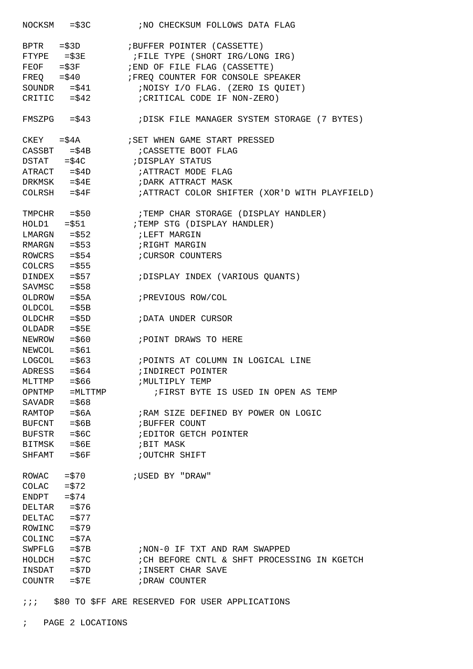NOCKSM =\$3C ;NO CHECKSUM FOLLOWS DATA FLAG BPTR =\$3D ;BUFFER POINTER (CASSETTE) FTYPE = \$3E ;FILE TYPE (SHORT IRG/LONG IRG) FEOF =\$3F ;END OF FILE FLAG (CASSETTE) FREQ =\$40 :FREQ COUNTER FOR CONSOLE SPEAKER SOUNDR =\$41 ;NOISY I/O FLAG. (ZERO IS QUIET)<br>CRITIC =\$42 ;CRITICAL CODE IF NON-ZERO) ; CRITICAL CODE IF NON-ZERO) FMSZPG =\$43 ;DISK FILE MANAGER SYSTEM STORAGE (7 BYTES)  $\begin{tabular}{lllllllll} \bf CKEY & = $4A & & & $i$ SET WHEN GAME START PRESSED \\ \bf CASSET & = $4B & & & $i$ CASETTE BOOT FLAG \\ \end{tabular}$ ; CASSETTE BOOT FLAG DSTAT = \$4C ;DISPLAY STATUS ATRACT = \$4D ; ATTRACT MODE FLAG<br>
DRKMSK = \$4E ; DARK ATTRACT MASK<br>
COLRSH = \$4F ; ATTRACT COLOR SHI ;DARK ATTRACT MASK ; ATTRACT COLOR SHIFTER (XOR'D WITH PLAYFIELD) TMPCHR = \$50 :TEMP CHAR STORAGE (DISPLAY HANDLER) HOLD1 =\$51 ;TEMP STG (DISPLAY HANDLER) LMARGN = \$52 ;LEFT MARGIN RMARGN =\$53 ;RIGHT MARGIN ROWCRS = \$54 ;CURSOR COUNTERS  $COLCRS = $55$ DINDEX = \$57 ;DISPLAY INDEX (VARIOUS QUANTS)  $SAVMSC = $58$ OLDROW =\$5A ; PREVIOUS ROW/COL OLDCOL =\$5B OLDCHR =\$5D ;DATA UNDER CURSOR OLDADR =\$5E NEWROW =\$60 ; POINT DRAWS TO HERE  $NEWCOL$  = $$61$ LOGCOL = \$63 ; POINTS AT COLUMN IN LOGICAL LINE ADRESS = \$64 ;INDIRECT POINTER MLTTMP =\$66 ;MULTIPLY TEMP<br>OPNTMP =MLTTMP ;FIRST BYTE FIRST BYTE IS USED IN OPEN AS TEMP  $SAVADR = $68$ RAMTOP =\$6A ;RAM SIZE DEFINED BY POWER ON LOGIC BUFCNT = \$6B ; BUFFER COUNT BUFSTR =\$6C ;EDITOR GETCH POINTER  $BITMSK = $6E$  ; BIT MASK SHFAMT = \$6F ;OUTCHR SHIFT ROWAC =\$70 ;USED BY "DRAW"  $COLAC = $72$  $ENDPT = $74$ DELTAR =\$76 DELTAC =\$77  $ROWINC = $79$  $COLINC = $7A$ SWPFLG =\$7B ;NON-0 IF TXT AND RAM SWAPPED HOLDCH =\$7C ;CH BEFORE CNTL & SHFT PROCESSING IN KGETCH INSDAT =\$7D ;INSERT CHAR SAVE COUNTR = \$7E ;DRAW COUNTER

: : ; \$80 TO \$FF ARE RESERVED FOR USER APPLICATIONS

; PAGE 2 LOCATIONS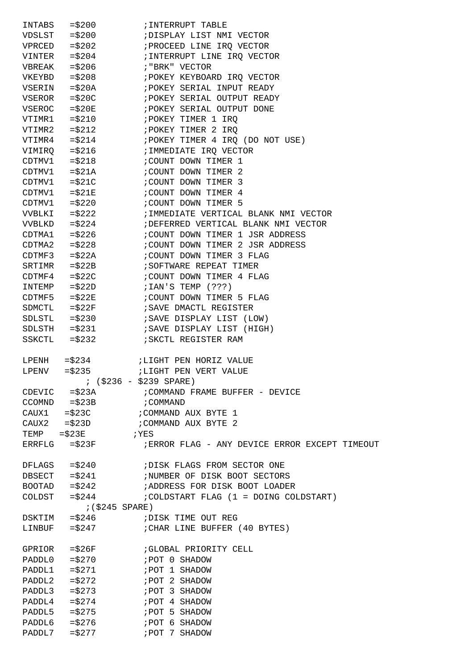| INTABS        | $= $200$          | ;INTERRUPT TABLE                                  |
|---------------|-------------------|---------------------------------------------------|
|               | $VDSLST$ = $$200$ | ; DISPLAY LIST NMI VECTOR                         |
| VPRCED        | $=$ \$202         | ; PROCEED LINE IRQ VECTOR                         |
| VINTER        | $=$ \$204         | ; INTERRUPT LINE IRQ VECTOR                       |
| VBREAK        | $=$ \$206         | ; "BRK" VECTOR                                    |
| VKEYBD        | $=$ \$208         | ; POKEY KEYBOARD IRQ VECTOR                       |
| VSERIN        | $= $20A$          | ; POKEY SERIAL INPUT READY                        |
| VSEROR        | $= $20C$          | ; POKEY SERIAL OUTPUT READY                       |
| <b>VSEROC</b> |                   | $=\$20E$<br>; POKEY SERIAL OUTPUT DONE            |
| VTIMR1        | $= $210$          | ; POKEY TIMER 1 IRQ                               |
| VTIMR2        | $= $212$          | ; POKEY TIMER 2 IRO                               |
| VTIMR4        | $= $214$          | ; POKEY TIMER 4 IRQ (DO NOT USE)                  |
|               |                   | ; IMMEDIATE IRQ VECTOR                            |
| VIMIRQ        |                   | $= $216$                                          |
| CDTMV1        | $= $218$          | ; COUNT DOWN TIMER 1                              |
| CDTMV1        | $= $21A$          | ; COUNT DOWN TIMER 2                              |
| CDTMV1        | $= $21C$          | ; COUNT DOWN TIMER 3                              |
| CDTMV1        | $= $21E$          | ; COUNT DOWN TIMER 4                              |
| CDTMV1        | $=$ \$220         | ; COUNT DOWN TIMER 5                              |
| <b>VVBLKI</b> |                   | $= $222$<br>; IMMEDIATE VERTICAL BLANK NMI VECTOR |
|               | $VVBLKD = $224$   | ; DEFERRED VERTICAL BLANK NMI VECTOR              |
| CDTMA1        | $=$ \$226         | ; COUNT DOWN TIMER 1 JSR ADDRESS                  |
| CDTMA2        | $=$ \$228         | ; COUNT DOWN TIMER 2 JSR ADDRESS                  |
| CDTMF3        |                   | $= $22A$<br>; COUNT DOWN TIMER 3 FLAG             |
| SRTIMR        |                   | ; SOFTWARE REPEAT TIMER<br>$=\frac{2}{22B}$       |
| CDTMF4        | $=$ \$22C         | ; COUNT DOWN TIMER 4 FLAG                         |
| INTEMP        | $=$ \$22D         | $7.1$ AN'S TEMP $(???)$                           |
| CDTMF5        | $= $22E$          | ; COUNT DOWN TIMER 5 FLAG                         |
| SDMCTL        | $= $22F$          | ; SAVE DMACTL REGISTER                            |
|               | $SDLSTL = $230$   | ; SAVE DISPLAY LIST (LOW)                         |
|               | $SDLSTH$ = $$231$ | ; SAVE DISPLAY LIST (HIGH)                        |
| SSKCTL        | $=$ \$232         | ; SKCTL REGISTER RAM                              |
|               |                   |                                                   |
|               | $LPENH = $234$    | ;LIGHT PEN HORIZ VALUE                            |
|               | $LPENV = $235$    | ; LIGHT PEN VERT VALUE                            |
|               |                   | $:$ $($ \$236 - \$239 SPARE)                      |
|               |                   |                                                   |
|               |                   | CDEVIC = \$23A : COMMAND FRAME BUFFER - DEVICE    |
|               | $CCOMND = $23B$   | ; COMMAND                                         |
|               |                   | CAUX1 = $$23C$ ; COMMAND AUX BYTE 1               |
|               |                   | CAUX2 = $$23D$ ; COMMAND AUX BYTE 2               |
|               |                   | TEMP $= $23E$ ; YES                               |
|               | $ERRFLG = $23F$   | ; ERROR FLAG - ANY DEVICE ERROR EXCEPT TIMEOUT    |
|               |                   |                                                   |
|               | $DFLAGS = $240$   | ; DISK FLAGS FROM SECTOR ONE                      |
|               |                   | DBSECT = \$241 :NUMBER OF DISK BOOT SECTORS       |
|               |                   | BOOTAD =\$242 :ADDRESS FOR DISK BOOT LOADER       |
|               | $COLDST = $244$   | $i$ COLDSTART FLAG $(1 =$ DOING COLDSTART)        |
|               |                   | ; (\$245 SPARE)                                   |
| DSKTIM        |                   | $=$ \$246<br>; DISK TIME OUT REG                  |
| LINBUF        |                   | $= $247$<br>; CHAR LINE BUFFER (40 BYTES)         |
|               |                   |                                                   |
|               | $GPRIOR = $26F$   | GLOBAL PRIORITY CELL                              |
|               | $PADDL0 = $270$   | FOT 0 SHADOW                                      |
| PADDL1        |                   | $= $271$ ; POT 1 SHADOW                           |
| PADDL2        |                   | $= $272$ ; POT 2 SHADOW                           |
|               |                   |                                                   |
|               | $PADDL4 = $274$   | POT 4 SHADOW                                      |
|               | $PADDL5 = $275$   | POT 5 SHADOW                                      |
|               |                   |                                                   |
|               |                   |                                                   |
| PADDL7        | $=$ \$277         | POT 7 SHADOW                                      |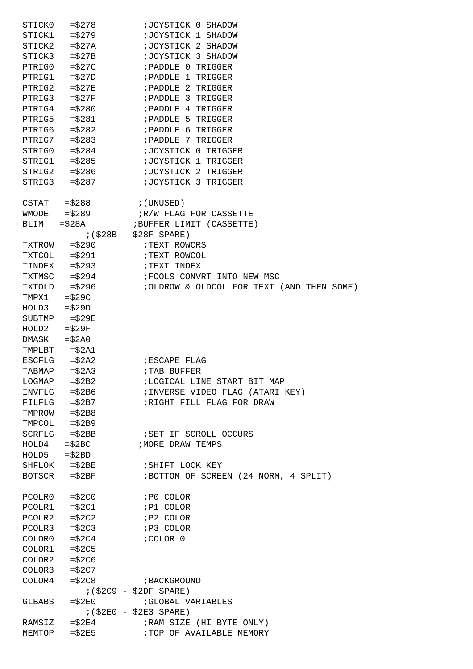| STICK0         | $=$ \$278                   | ;JOYSTICK 0 SHADOW                         |
|----------------|-----------------------------|--------------------------------------------|
|                | $STICK1 = $279$             | ; JOYSTICK 1 SHADOW                        |
|                | $STICK2 = $27A$             | ; JOYSTICK 2 SHADOW                        |
|                | $STICK3 = $27B$             | ;JOYSTICK 3 SHADOW                         |
| PTRIG0         | $= $27C$                    | ; PADDLE 0 TRIGGER                         |
| PTRIG1         | $=\$27D$                    | ; PADDLE 1 TRIGGER                         |
| PTRIG2         | $= $27E$                    | ; PADDLE 2 TRIGGER                         |
| PTRIG3         |                             | $=\frac{27F}{F}$ ; PADDLE 3 TRIGGER        |
| PTRIG4         | $=$ \$280                   | ; PADDLE 4 TRIGGER                         |
| PTRIG5         | $= $281$                    | ; PADDLE 5 TRIGGER                         |
| PTRIG6         | $=$ \$282                   | ; PADDLE 6 TRIGGER                         |
|                | PTRIG7 $= $283$             | ; PADDLE 7 TRIGGER                         |
|                |                             | STRIGO = \$284 : JOYSTICK 0 TRIGGER        |
|                | $STRIG1 = $285$             | ;JOYSTICK 1 TRIGGER                        |
|                | $STRIG2 = $286$             | ;JOYSTICK 2 TRIGGER                        |
| STRIG3         | $=$ \$287                   | ;JOYSTICK 3 TRIGGER                        |
|                |                             |                                            |
|                | CSTAT $= $288$ ; (UNUSED)   |                                            |
|                | $WMODE$ = $$289$            | R/W FLAG FOR CASSETTE                      |
| BLIM           | $= $28A$                    | ; BUFFER LIMIT (CASSETTE)                  |
|                |                             | $(528B - 528F$ SPARE)                      |
|                | $TXTROW = $290$             | ; TEXT ROWCRS                              |
|                | TXTCOL = \$291 FTEXT ROWCOL |                                            |
|                | $TINDER = $293$             | TEXT INDEX                                 |
|                | $TXTMSC = $294$             | FOOLS CONVRT INTO NEW MSC                  |
| TXTOLD         | $=$ \$296                   | ; OLDROW & OLDCOL FOR TEXT (AND THEN SOME) |
| TMPX1          | $= $29C$                    |                                            |
| $HOLD3 = $29D$ |                             |                                            |
|                | $SUBIMP = $29E$             |                                            |
| HOLD2          | $= $29F$                    |                                            |
| $DMASK = $2A0$ |                             |                                            |
|                | TMPLBT $= $2A1$             |                                            |
| ESCFLG         | $= $2A2$                    | ESCAPE FLAG                                |
| TABMAP         | $= $2A3$                    | <b>;TAB BUFFER</b>                         |
| LOGMAP         | $= $2B2$                    | ; LOGICAL LINE START BIT MAP               |
|                | $INVFLG = $2B6$             | ; INVERSE VIDEO FLAG (ATARI KEY)           |
|                | $FILFLG = $2B7$             | ; RIGHT FILL FLAG FOR DRAW                 |
|                | $TMPROW = $2B8$             |                                            |
|                | $TMPCOL = $2B9$             |                                            |
|                | $SCRFLG = $2BB$             | ; SET IF SCROLL OCCURS                     |
| HOLD4          | $=\$2BC$                    | <b>; MORE DRAW TEMPS</b>                   |
|                | $HOLD5 = $2BD$              |                                            |
|                | $SHFLOK = $2BE$             | SHIFT LOCK KEY                             |
|                | $BOTSCR$ = $$2BF$           | ; BOTTOM OF SCREEN (24 NORM, 4 SPLIT)      |
|                |                             |                                            |
|                | $PCOLR0 = $2C0$             | ; PO COLOR                                 |
|                | $PCOLR1 = $2C1$             | ; P1 COLOR                                 |
|                | $PCOLR2 = $2C2$             | ; P2 COLOR                                 |
| PCOLR3         | $= $2C3$                    | ; P3 COLOR                                 |
|                | $COLOR0 = $2C4$             | ; COLOR 0                                  |
|                | $COLOR1 = $2C5$             |                                            |
|                | $COLOR2 = $2C6$             |                                            |
|                | $COLOR3 = $2C7$             |                                            |
| COLOR4         | $= $2C8$                    | ; BACKGROUND                               |
|                |                             | $($ \$2C9 - \$2DF SPARE)                   |
| GLBABS         | $= $2E0$                    | ; GLOBAL VARIABLES                         |
|                |                             | $(52E0 - 52E3 SPARE)$                      |
| RAMSIZ         | $=$ \$2E4                   | ; RAM SIZE (HI BYTE ONLY)                  |
| MEMTOP         | $=$ \$2E5                   | ; TOP OF AVAILABLE MEMORY                  |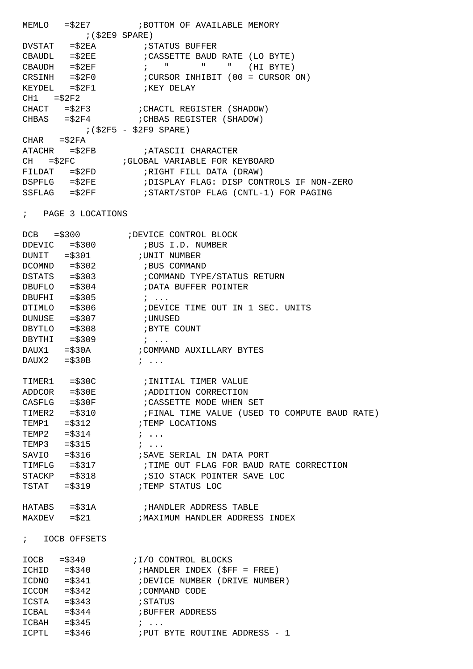MEMLO = \$2E7 **; BOTTOM OF AVAILABLE MEMORY**  ;(\$2E9 SPARE) DVSTAT = \$2EA ; STATUS BUFFER CBAUDL =\$2EE ;CASSETTE BAUD RATE (LO BYTE) ; " " " (HI BYTE) CRSINH =\$2F0 ;CURSOR INHIBIT (00 = CURSOR ON) KEYDEL  $=\xi 2F1$  ; KEY DELAY  $CH1 = $2F2$ CHACT =\$2F3 ;CHACTL REGISTER (SHADOW) CHBAS =\$2F4 ;CHBAS REGISTER (SHADOW) ;(\$2F5 - \$2F9 SPARE) CHAR =\$2FA<br>ATACHR =\$2FB ; ATASCII CHARACTER CH = \$2FC ; GLOBAL VARIABLE FOR KEYBOARD FILDAT =\$2FD ;RIGHT FILL DATA (DRAW) DSPFLG =\$2FE ;DISPLAY FLAG: DISP CONTROLS IF NON-ZERO SSFLAG =\$2FF ;START/STOP FLAG (CNTL-1) FOR PAGING

; PAGE 3 LOCATIONS

ICCOM = \$342 ; COMMAND CODE

ICBAL = \$344 ;BUFFER ADDRESS

ICPTL = \$346 ;PUT BYTE ROUTINE ADDRESS - 1

ICSTA =\$343 ;STATUS

 $ICBAH = $345$  ; ...

|                             | DCB = \$300<br>DEVIC = \$300<br>;BUS I.D. NUMBER<br>HOCK DEVIC = \$300<br>;BUS I.D. NUMBER               |
|-----------------------------|----------------------------------------------------------------------------------------------------------|
| DUNIT = \$301 : UNIT NUMBER |                                                                                                          |
|                             | $DCOMND$ = \$302 ; BUS COMMAND                                                                           |
|                             |                                                                                                          |
|                             | DBUFLO = \$304 : DATA BUFFER POINTER                                                                     |
| DBUFHI $= $305$             | $\mathcal{V}$                                                                                            |
|                             | DTIMLO = \$306 : DEVICE TIME OUT IN 1 SEC. UNITS                                                         |
| DUNUSE = \$307 ; UNUSED     |                                                                                                          |
|                             |                                                                                                          |
| DBYTHI = $$309$ ;           |                                                                                                          |
|                             |                                                                                                          |
| $DAUX2 = $30B$              | $\ddot{i}$                                                                                               |
|                             |                                                                                                          |
|                             |                                                                                                          |
|                             | ADDCOR = \$30E<br><br><br><br><br><br><br><br><br><br><br><br><br><br><br><br><br><br><br><br><br><br>   |
|                             |                                                                                                          |
|                             | CASFLG = \$30F : CASSETTE MODE WHEN SET<br>TIMER2 = \$310 : FINAL TIME VALUE (USED TO COMPUTE BAUD RATE) |
|                             | TEMP1 = \$312 FEMP LOCATIONS                                                                             |
| TEMP2 = $$314$ ;            |                                                                                                          |
| TEMP3 = $$315$ ;            |                                                                                                          |
|                             | SAVIO = $$316$ : SAVE SERIAL IN DATA PORT                                                                |
| $TIME-G$ = $$317$           | ; TIME OUT FLAG FOR BAUD RATE CORRECTION                                                                 |
|                             | STACKP $= $318$ ; SIO STACK POINTER SAVE LOC                                                             |
|                             | TSTAT = \$319 FILMP STATUS LOC                                                                           |
|                             |                                                                                                          |
|                             | $HATABS$ = $$31A$ ; HANDLER ADDRESS TABLE                                                                |
|                             | MAXDEV = \$21 : MAXIMUM HANDLER ADDRESS INDEX                                                            |
|                             |                                                                                                          |
| ; IOCB OFFSETS              |                                                                                                          |
|                             |                                                                                                          |
| $IOCB = $340$               | I/O CONTROL BLOCKS                                                                                       |
| $ICHID = $340$              | ; HANDLER INDEX (\$FF = FREE)                                                                            |
| $= $341$<br>ICDNO           | ; DEVICE NUMBER (DRIVE NUMBER)                                                                           |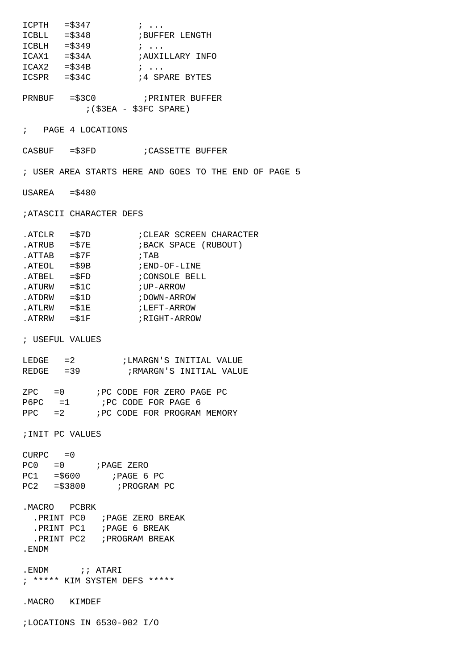|                  |                           | $ICPTH = $347$ ;                                                                                                                         |  |
|------------------|---------------------------|------------------------------------------------------------------------------------------------------------------------------------------|--|
|                  |                           | ICBLL = \$348 : BUFFER LENGTH                                                                                                            |  |
|                  |                           | $ICBLH = $349$ ;                                                                                                                         |  |
|                  |                           | ICAX1 = \$34A ; AUXILLARY INFO                                                                                                           |  |
|                  | $TCAX2 = $34B$            | $\mathbf{i}$ $\cdots$                                                                                                                    |  |
|                  |                           | $ICSPR$ = $$34C$ $34$ $$92R$ $$94$ $$59R$ $$94$ $$59R$                                                                                   |  |
|                  |                           |                                                                                                                                          |  |
|                  |                           | PRNBUF = \$3C0 FRINTER BUFFER<br>$($ \$3EA - \$3FC SPARE)                                                                                |  |
|                  | ; PAGE 4 LOCATIONS        |                                                                                                                                          |  |
|                  |                           | CASBUF $=\xi$ 3FD ; CASSETTE BUFFER                                                                                                      |  |
|                  |                           | ; USER AREA STARTS HERE AND GOES TO THE END OF PAGE 5                                                                                    |  |
| $USAREA = $480$  |                           |                                                                                                                                          |  |
|                  | ; ATASCII CHARACTER DEFS  |                                                                                                                                          |  |
|                  |                           | ${\tt .ATCLR} \hspace*{20pt} = $7D \hspace*{20pt} {\tt \hspace*{1.5pt} iCLEAR} \hspace*{2pt} {\tt SCREEN} \hspace*{2pt} {\tt CHARACTER}$ |  |
|                  |                           |                                                                                                                                          |  |
|                  |                           | $ATTAB = $7F$ ; TAB                                                                                                                      |  |
|                  |                           | . ATEOL $= $9B$ $; END-OF-LINE$                                                                                                          |  |
|                  | $ATBEL = \frac{1}{5} FD$  |                                                                                                                                          |  |
|                  |                           | CONSOLE BELL                                                                                                                             |  |
|                  |                           | $ATURW = $1C$ ; $UP-ARROW$                                                                                                               |  |
|                  |                           | $. ATDRW = $1D$ $. JDOWN-ARROW$                                                                                                          |  |
|                  |                           |                                                                                                                                          |  |
|                  |                           | $. ATRRW = $1F$ $. ATRRW = $1F$                                                                                                          |  |
| ; USEFUL VALUES  |                           |                                                                                                                                          |  |
|                  |                           |                                                                                                                                          |  |
|                  |                           | REDGE = 39 : RMARGN'S INITIAL VALUE                                                                                                      |  |
|                  |                           |                                                                                                                                          |  |
|                  |                           | $ZPC = 0$ ; PC CODE FOR ZERO PAGE PC                                                                                                     |  |
|                  |                           | $P6PC = 1$ ; PC CODE FOR PAGE 6                                                                                                          |  |
|                  |                           | PPC = 2 : PC CODE FOR PROGRAM MEMORY                                                                                                     |  |
| ; INIT PC VALUES |                           |                                                                                                                                          |  |
|                  |                           |                                                                                                                                          |  |
| $CURPC = 0$      |                           |                                                                                                                                          |  |
|                  | $PC0 = 0$ ; $PAGE$ $ZERO$ |                                                                                                                                          |  |
|                  |                           | $PC1 = $600$ ; PAGE 6 PC                                                                                                                 |  |
|                  |                           | $PC2 = $3800$ ; PROGRAM PC                                                                                                               |  |
| MACRO PCBRK      |                           |                                                                                                                                          |  |
|                  |                           |                                                                                                                                          |  |
|                  |                           | . PRINT PC1 ; PAGE 6 BREAK                                                                                                               |  |
|                  |                           |                                                                                                                                          |  |
| .ENDM            |                           |                                                                                                                                          |  |
|                  | .ENDM :: ATARI            |                                                                                                                                          |  |
|                  |                           | ; ***** KIM SYSTEM DEFS *****                                                                                                            |  |
| . MACRO KIMDEF   |                           |                                                                                                                                          |  |
|                  |                           | ;LOCATIONS IN 6530-002 I/O                                                                                                               |  |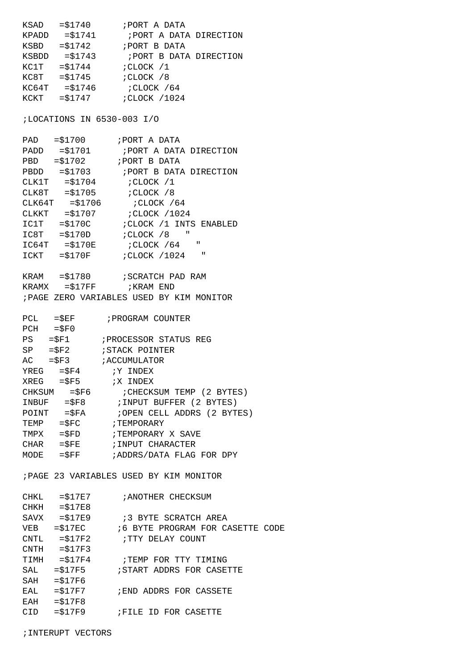KSAD  $= $1740$  ; PORT A DATA KPADD =\$1741 ;PORT A DATA DIRECTION KSBD =\$1742 ;PORT B DATA KSBDD =\$1743 ;PORT B DATA DIRECTION  $KCIT$  = $$1744$  ;  $CLOCK$  /1 KC8T =\$1745 ; CLOCK /8  $KCG4T = $1746$  ; CLOCK /64 KCKT =\$1747 ;CLOCK /1024

;LOCATIONS IN 6530-003 I/O

| PAD    | $= $1700$      | ; PORT A DATA                            |
|--------|----------------|------------------------------------------|
|        |                |                                          |
|        |                |                                          |
|        | $PBDD = $1703$ | ; PORT B DATA DIRECTION                  |
|        |                | $CLK1T = $1704$ ; $CLOCK / 1$            |
|        |                | $CLK8T = $1705$ ; $CLOCK$ /8             |
| CLK64T |                |                                          |
| CLKKT  |                |                                          |
| IC1T   |                | $= $170C$ ; CLOCK /1 INTS ENABLED        |
|        |                | $IC8T = $170D$ ; $CLOCK$ /8<br>$\sim 10$ |
| IC64T  | $= $170E$      | ; CLOCK / 64 "                           |
| ICKT   | $= $170F$      | $\mathbf{u}$<br>; CLOCK /1024            |
|        |                |                                          |
| KRAM   | $= $1780$      | ; SCRATCH PAD RAM                        |

 $KRAMX = $17FF$  ;  $KRAM END$ <br> $\therefore$   $RAT = TDC$   $HATT = TCTT = TATT = THTT = THTT$ 

|  | ; PAGE ZERO VARIABLES USED BY KIM MONITOR |  |  |
|--|-------------------------------------------|--|--|
|  |                                           |  |  |

| $=\$EF$<br>PCL          |                | ; PROGRAM COUNTER           |
|-------------------------|----------------|-----------------------------|
| $PCH = $F0$             |                |                             |
| $PS = SP1$              |                | ; PROCESSOR STATUS REG      |
| $SP = SP2$              |                | <i>STACK POINTER</i>        |
| $AC = \$F3$             |                | ; ACCUMULATOR               |
| $YREG = \$F4$           |                | IY INDEX                    |
| $XREG = \$F5$           |                | X INDEX;                    |
|                         | $CHKSUM = $F6$ | : CHECKSUM TEMP (2 BYTES)   |
| $INDEX = \frac{1}{5}F8$ |                | ; INPUT BUFFER (2 BYTES)    |
| POINT                   | $=$ $SFA$      | ; OPEN CELL ADDRS (2 BYTES) |
| TEMP                    | $=$ $SFC$      | ; TEMPORARY                 |
| TMPX                    | $=$ $$FD$      | ;TEMPORARY X SAVE           |
| CHAR                    | $=$ $SFE$      | ; INPUT CHARACTER           |
| MODE                    | $=$ $SFF$      | ;ADDRS/DATA FLAG FOR DPY    |

;PAGE 23 VARIABLES USED BY KIM MONITOR

| CHKL       | $= $17E7$        | ; ANOTHER CHECKSUM                           |
|------------|------------------|----------------------------------------------|
|            | $CHKH$ = $$17E8$ |                                              |
| SAVX       | $= $17E9$        | :3 BYTE SCRATCH AREA                         |
|            |                  | VEB = \$17EC 6 BYTE PROGRAM FOR CASETTE CODE |
|            |                  | $CNTL = $17F2$ ; TTY DELAY COUNT             |
|            | $CNTH = $17F3$   |                                              |
| TIMH       | $= $17F4$        | TEMP FOR TTY TIMING                          |
| SAL        | $= $17F5$        | START ADDRS FOR CASETTE                      |
| SAH        | $= $17F6$        |                                              |
| EAL        | $= $17F7$        | ; END ADDRS FOR CASSETE                      |
| <b>EAH</b> | $= $17F8$        |                                              |
| CID        | $= $17F9$        | <b>;FILE</b><br>ID FOR CASETTE               |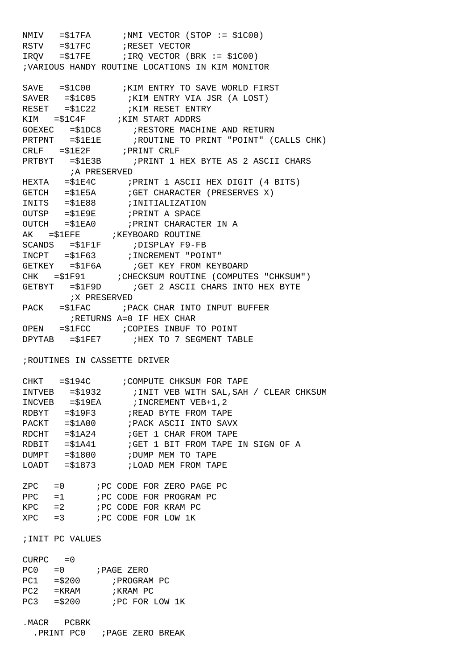NMIV =\$17FA ;NMI VECTOR (STOP := \$1C00) RSTV =\$17FC ;RESET VECTOR  $IRQV$  =  $$17FE$  ; IRQ VECTOR (BRK :=  $$1CO0$ ) ;VARIOUS HANDY ROUTINE LOCATIONS IN KIM MONITOR  $SAVE = $1C00$  ; KIM ENTRY TO SAVE WORLD FIRST SAVER =\$1C05 ;KIM ENTRY VIA JSR (A LOST) RESET =\$1C22 **;KIM RESET ENTRY** KIM = \$1C4F ; KIM START ADDRS GOEXEC =\$1DC8 ;RESTORE MACHINE AND RETURN PRTPNT = \$1E1E : ROUTINE TO PRINT "POINT" (CALLS CHK) CRLF =\$1E2F ;PRINT CRLF PRTBYT =\$1E3B ;PRINT 1 HEX BYTE AS 2 ASCII CHARS ;A PRESERVED HEXTA =\$1E4C ;PRINT 1 ASCII HEX DIGIT (4 BITS) GETCH = \$1E5A ; GET CHARACTER (PRESERVES X) INITS = \$1E88 ;INITIALIZATION OUTSP =\$1E9E ;PRINT A SPACE OUTCH = \$1EA0 ; PRINT CHARACTER IN A AK =\$1EFE ;KEYBOARD ROUTINE SCANDS = \$1F1F ; DISPLAY F9-FB INCPT =\$1F63 ;INCREMENT "POINT" GETKEY = \$1F6A ; GET KEY FROM KEYBOARD CHK =\$1F91 ;CHECKSUM ROUTINE (COMPUTES "CHKSUM") GETBYT = \$1F9D : GET 2 ASCII CHARS INTO HEX BYTE ;X PRESERVED PACK =\$1FAC ;PACK CHAR INTO INPUT BUFFER ;RETURNS A=0 IF HEX CHAR OPEN = \$1FCC : COPIES INBUF TO POINT DPYTAB = \$1FE7 ;HEX TO 7 SEGMENT TABLE ;ROUTINES IN CASSETTE DRIVER CHKT = \$194C : COMPUTE CHKSUM FOR TAPE<br>INTVEB = \$1932 : INIT VEB WITH SAL, SAH / CLEAR CHKSUM INTVEB = \$1932 : INIT VEB WITH SAL, SAH / CLEAR CHKSUM INCVEB = \$19EA ; INCREMENT VEB+1, 2 RDBYT =\$19F3 ;READ BYTE FROM TAPE PACKT = \$1A00 ; PACK ASCII INTO SAVX RDCHT =\$1A24 ;GET 1 CHAR FROM TAPE RDBIT =\$1A41 ;GET 1 BIT FROM TAPE IN SIGN OF A DUMPT = \$1800 ; DUMP MEM TO TAPE LOADT =\$1873 ;LOAD MEM FROM TAPE ZPC =0 ;PC CODE FOR ZERO PAGE PC PPC =1 ; PC CODE FOR PROGRAM PC KPC =2 **;PC CODE FOR KRAM PC**  $XPC$  =3  $;PC$  CODE FOR LOW 1K ;INIT PC VALUES  $CUIRPC = 0$ 

| ししょし し |           |                 |
|--------|-----------|-----------------|
| PC0.   | $= 0$     | ; PAGE ZERO     |
| PC1    | $=$ \$200 | ; PROGRAM PC    |
| PC2.   | $=$ KRAM  | ;KRAM PC        |
| PC3.   | $=$ \$200 | ; PC FOR LOW 1K |
|        |           |                 |

.MACR PCBRK

.PRINT PC0 ;PAGE ZERO BREAK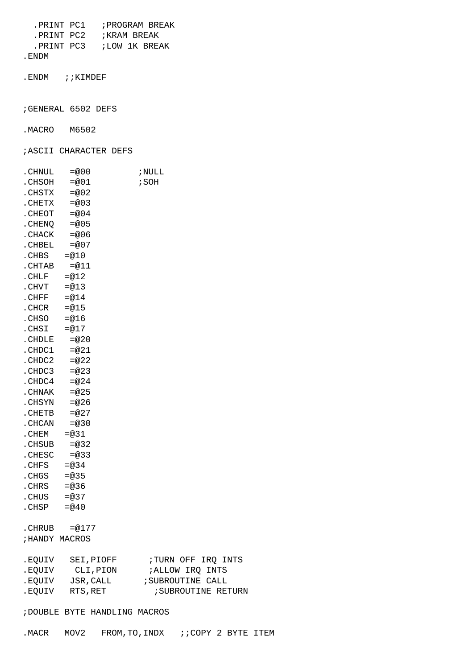.PRINT PC1 ;PROGRAM BREAK .PRINT PC2 ;KRAM BREAK .PRINT PC3 ;LOW 1K BREAK

.ENDM

.ENDM ; ; KIMDEF

;GENERAL 6502 DEFS

.MACRO M6502

;ASCII CHARACTER DEFS

| . CHNUL | $=@00$                | ; NULL                          |
|---------|-----------------------|---------------------------------|
| .CHSOH  | $=@01$                | ; SOH                           |
| . CHSTX | $=@02$                |                                 |
| . CHETX | $= 003$               |                                 |
| .CHEOT  | $= 004$               |                                 |
| . CHENQ | $=@05$                |                                 |
| . CHACK | $=@06$                |                                 |
| .CHBEL  | $= 007$               |                                 |
| .CHBS   | $=@10$                |                                 |
| .CHTAB  | $=@11$                |                                 |
| .CHLF   | $=@12$                |                                 |
| .CHVT   | $=@13$                |                                 |
| .CHFF   | $=@14$                |                                 |
| .CHCR   | $=@15$                |                                 |
| .CHSO   | $=@16$                |                                 |
| .CHSI   | $=@17$                |                                 |
| . CHDLE | $=@20$                |                                 |
| .CHDC1  | $=@21$                |                                 |
| .CHDC2  | $=@22$                |                                 |
| .CHDC3  | $= 23$                |                                 |
| .CHDC4  | $=@24$                |                                 |
| . CHNAK | $= 25$                |                                 |
| .CHSYN  | $= 26$                |                                 |
| . CHETB | $= 27$                |                                 |
| . CHCAN | $= 0.30$              |                                 |
| .CHEM   | $=@31$                |                                 |
| .CHSUB  | $= 0.32$              |                                 |
| .CHESC  | $= 0.33$              |                                 |
| .CHFS   | $= 0.34$              |                                 |
| .CHGS   | $= 0.35$              |                                 |
| .CHRS   | $= 0.36$              |                                 |
| .CHUS   | $= 0.37$              |                                 |
| .CHSP   | $=@40$                |                                 |
|         |                       |                                 |
|         | $\text{CHRUB} = @177$ |                                 |
|         | ; HANDY MACROS        |                                 |
|         |                       |                                 |
| .EQUIV  | SEI, PIOFF            | ; TURN OFF IRQ INTS             |
| .EQUIV  | CLI, PION             | ; ALLOW IRQ INTS                |
| .EQUIV  | JSR, CALL             | ; SUBROUTINE CALL               |
| .EQUIV  | RTS, RET              | <i><b>SUBROUTINE RETURN</b></i> |

;DOUBLE BYTE HANDLING MACROS

| MACR MOV2. |  | FROM, TO, INDX | ;;COPY 2 BYTE ITEM |  |  |
|------------|--|----------------|--------------------|--|--|
|------------|--|----------------|--------------------|--|--|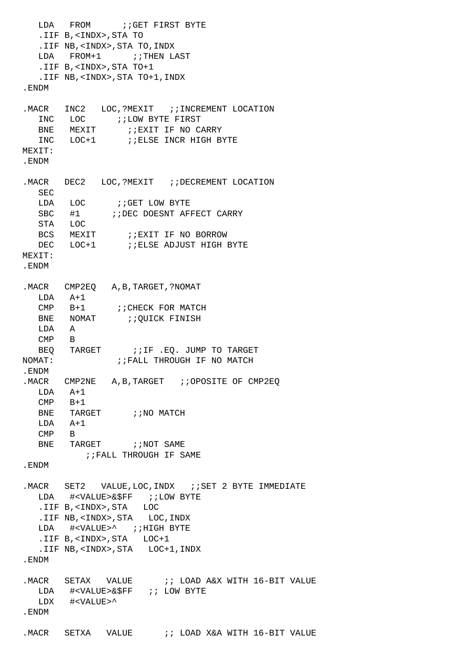LDA FROM ;;GET FIRST BYTE .IIF B,<INDX>,STA TO .IIF NB,<INDX>,STA TO,INDX LDA FROM+1 ;; THEN LAST .IIF B,<INDX>,STA TO+1 .IIF NB,<INDX>,STA TO+1,INDX .ENDM . MACR INC2 LOC, ?MEXIT ;; INCREMENT LOCATION INC LOC : *i* LOW BYTE FIRST<br>BNE MEXIT : *i* EXIT IF NO C. BNE MEXIT : ; EXIT IF NO CARRY INC LOC+1 ; ; ELSE INCR HIGH BYTE MEXIT: .ENDM .MACR DEC2 LOC, ?MEXIT :: DECREMENT LOCATION SEC LDA LOC *;*;GET LOW BYTE SBC #1  $\qquad$  ; ; DEC DOESNT AFFECT CARRY STA LOC BCS MEXIT : iEXIT IF NO BORROW DEC LOC+1 : ; ELSE ADJUST HIGH BYTE MEXIT: .ENDM .MACR CMP2EQ A,B,TARGET,?NOMAT LDA A+1 CMP B+1 ; ; CHECK FOR MATCH BNE NOMAT ;; OUICK FINISH LDA A CMP B BEQ TARGET : ; IF .EQ. JUMP TO TARGET NOMAT:  $\qquad$  ; FALL THROUGH IF NO MATCH .ENDM .MACR CMP2NE A, B, TARGET ; ; OPOSITE OF CMP2EO LDA A+1 CMP B+1 BNE TARGET : NO MATCH  $LDA$   $A+1$  CMP B BNE TARGET : ; NOT SAME ;;FALL THROUGH IF SAME .ENDM .MACR SET2 VALUE, LOC, INDX : SET 2 BYTE IMMEDIATE LDA #<VALUE>&\$FF ;;LOW BYTE .IIF B,<INDX>,STA LOC .IIF NB,<INDX>,STA LOC,INDX LDA #<VALUE>^ ;;HIGH BYTE .IIF B,<INDX>,STA LOC+1 .IIF NB,<INDX>,STA LOC+1,INDX .ENDM .MACR SETAX VALUE : ; LOAD A&X WITH 16-BIT VALUE LDA #<VALUE>&\$FF ;; LOW BYTE LDX #<VALUE>^ .ENDM .MACR SETXA VALUE : i LOAD X&A WITH 16-BIT VALUE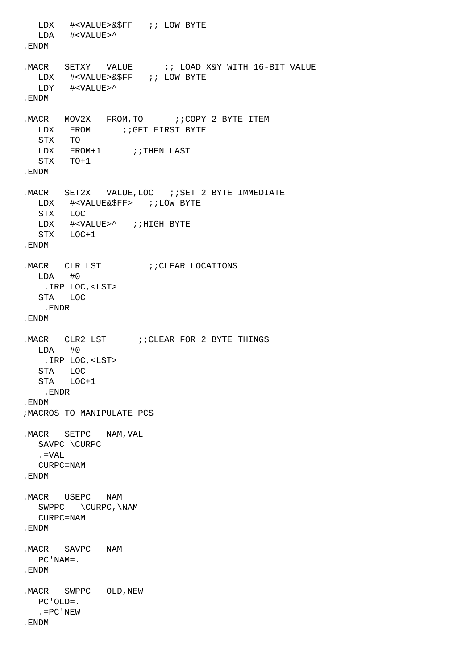LDX #<VALUE>&\$FF ;; LOW BYTE LDA #<VALUE>^ .ENDM .MACR SETXY VALUE : LOAD X&Y WITH 16-BIT VALUE LDX #<VALUE>&\$FF ;; LOW BYTE LDY #<VALUE>^ .ENDM .MACR MOV2X FROM, TO : GOPY 2 BYTE ITEM LDX FROM ;;GET FIRST BYTE STX TO LDX FROM+1 ;;THEN LAST STX TO+1 .ENDM .MACR SET2X VALUE, LOC : ; SET 2 BYTE IMMEDIATE LDX #<VALUE&\$FF> ;;LOW BYTE STX LOC LDX #<VALUE>^ ;;HIGH BYTE STX LOC+1 .ENDM . MACR CLR LST  $i$ ; CLEAR LOCATIONS LDA #0 .IRP LOC,<LST> STA LOC .ENDR .ENDM . MACR CLR2 LST : CLEAR FOR 2 BYTE THINGS LDA #0 .IRP LOC,<LST> STA LOC STA LOC+1 .ENDR .ENDM ;MACROS TO MANIPULATE PCS .MACR SETPC NAM,VAL SAVPC \CURPC .=VAL CURPC=NAM .ENDM .MACR USEPC NAM SWPPC \CURPC,\NAM CURPC=NAM .ENDM .MACR SAVPC NAM PC'NAM=. .ENDM . MACR SWPPC OLD, NEW PC'OLD=. .=PC'NEW .ENDM